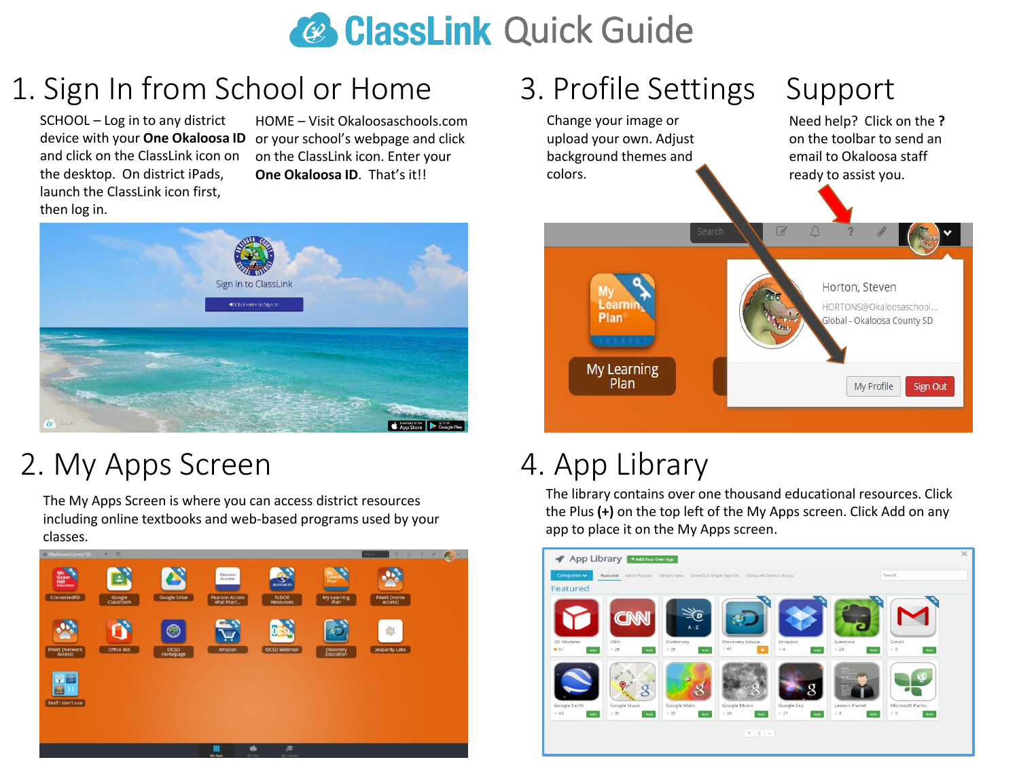# **& ClassLink Quick Guide**

# 1. Sign In from School or Home

SCHOOL – Log in to any district device with your **One Okaloosa ID**  and click on the ClassLink icon on the desktop. On district iPads, launch the ClassLink icon first, then log in.

HOME – Visit Okaloosaschools.com or your school's webpage and click on the ClassLink icon. Enter your **One Okaloosa ID**. That's it!!



# 2. My Apps Screen

The My Apps Screen is where you can access district resources including online textbooks and web-based programs used by your classes.



### 3. Profile Settings Support

Change your image or upload your own. Adjust background themes and colors.



# 4. App Library

The library contains over one thousand educational resources. Click the Plus **(+)** on the top left of the My Apps screen. Click Add on any app to place it on the My Apps screen.